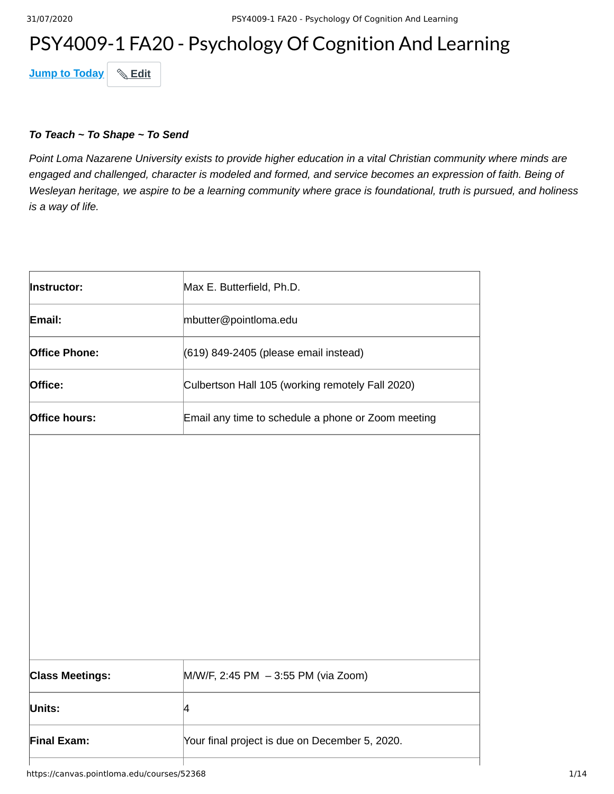# PSY4009-1 FA20 - Psychology Of Cognition And Learning

**Jump to Today & Edit** 

#### *To Teach ~ To Shape ~ To Send*

*Point Loma Nazarene University exists to provide higher education in a vital Christian community where minds are engaged and challenged, character is modeled and formed, and service becomes an expression of faith. Being of Wesleyan heritage, we aspire to be a learning community where grace is foundational, truth is pursued, and holiness is a way of life.*

| Instructor:                                | Max E. Butterfield, Ph.D.                          |
|--------------------------------------------|----------------------------------------------------|
| Email:                                     | mbutter@pointloma.edu                              |
| <b>Office Phone:</b>                       | (619) 849-2405 (please email instead)              |
| Office:                                    | Culbertson Hall 105 (working remotely Fall 2020)   |
| Office hours:                              | Email any time to schedule a phone or Zoom meeting |
|                                            |                                                    |
|                                            |                                                    |
|                                            |                                                    |
|                                            |                                                    |
|                                            |                                                    |
|                                            |                                                    |
|                                            |                                                    |
| <b>Class Meetings:</b>                     | M/W/F, 2:45 PM - 3:55 PM (via Zoom)                |
| Units:                                     | 4                                                  |
| <b>Final Exam:</b>                         | Your final project is due on December 5, 2020.     |
| https://canvas.pointloma.edu/courses/52368 |                                                    |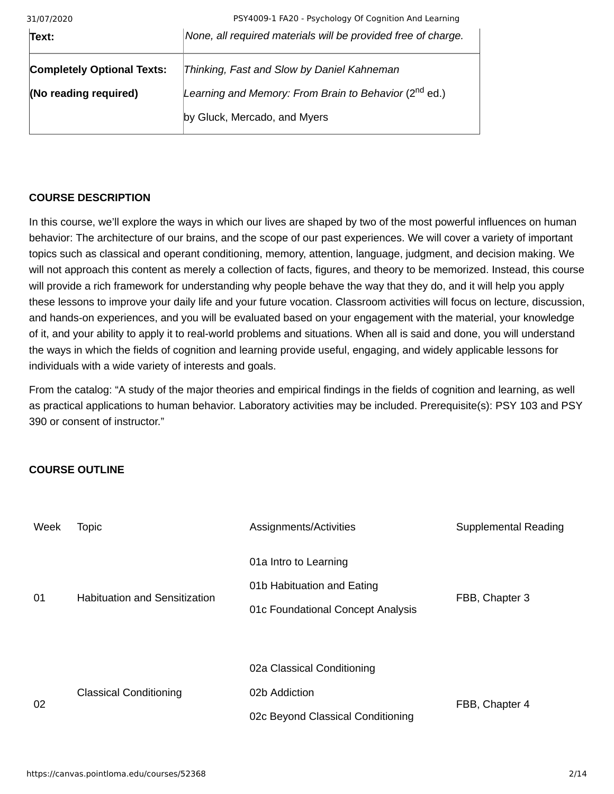| 31/07/2020                        | PSY4009-1 FA20 - Psychology Of Cognition And Learning             |
|-----------------------------------|-------------------------------------------------------------------|
| Text:                             | None, all required materials will be provided free of charge.     |
| <b>Completely Optional Texts:</b> | Thinking, Fast and Slow by Daniel Kahneman                        |
| (No reading required)             | Learning and Memory: From Brain to Behavior (2 <sup>nd</sup> ed.) |
|                                   | by Gluck, Mercado, and Myers                                      |

## **COURSE DESCRIPTION**

In this course, we'll explore the ways in which our lives are shaped by two of the most powerful influences on human behavior: The architecture of our brains, and the scope of our past experiences. We will cover a variety of important topics such as classical and operant conditioning, memory, attention, language, judgment, and decision making. We will not approach this content as merely a collection of facts, figures, and theory to be memorized. Instead, this course will provide a rich framework for understanding why people behave the way that they do, and it will help you apply these lessons to improve your daily life and your future vocation. Classroom activities will focus on lecture, discussion, and hands-on experiences, and you will be evaluated based on your engagement with the material, your knowledge of it, and your ability to apply it to real-world problems and situations. When all is said and done, you will understand the ways in which the fields of cognition and learning provide useful, engaging, and widely applicable lessons for individuals with a wide variety of interests and goals.

From the catalog: "A study of the major theories and empirical findings in the fields of cognition and learning, as well as practical applications to human behavior. Laboratory activities may be included. Prerequisite(s): PSY 103 and PSY 390 or consent of instructor."

## **COURSE OUTLINE**

| Week | Topic                                | Assignments/Activities                                                                   | Supplemental Reading |
|------|--------------------------------------|------------------------------------------------------------------------------------------|----------------------|
| 01   | <b>Habituation and Sensitization</b> | 01a Intro to Learning<br>01b Habituation and Eating<br>01c Foundational Concept Analysis | FBB, Chapter 3       |
| 02   | <b>Classical Conditioning</b>        | 02a Classical Conditioning<br>02b Addiction<br>02c Beyond Classical Conditioning         | FBB, Chapter 4       |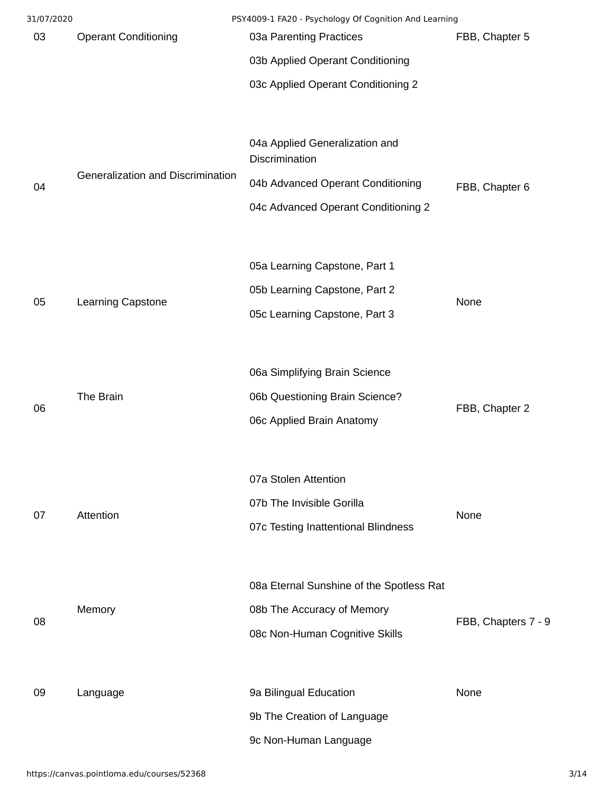| 31/07/2020 |                                   | PSY4009-1 FA20 - Psychology Of Cognition And Learning |                     |
|------------|-----------------------------------|-------------------------------------------------------|---------------------|
| 03         | <b>Operant Conditioning</b>       | 03a Parenting Practices                               | FBB, Chapter 5      |
|            |                                   | 03b Applied Operant Conditioning                      |                     |
|            |                                   | 03c Applied Operant Conditioning 2                    |                     |
|            |                                   |                                                       |                     |
|            |                                   | 04a Applied Generalization and<br>Discrimination      |                     |
| 04         | Generalization and Discrimination | 04b Advanced Operant Conditioning                     | FBB, Chapter 6      |
|            |                                   | 04c Advanced Operant Conditioning 2                   |                     |
|            |                                   |                                                       |                     |
|            |                                   | 05a Learning Capstone, Part 1                         |                     |
|            |                                   | 05b Learning Capstone, Part 2                         |                     |
| 05         | Learning Capstone                 | 05c Learning Capstone, Part 3                         | None                |
|            |                                   |                                                       |                     |
|            |                                   | 06a Simplifying Brain Science                         |                     |
|            | The Brain                         | 06b Questioning Brain Science?                        |                     |
| 06         |                                   | 06c Applied Brain Anatomy                             | FBB, Chapter 2      |
|            |                                   |                                                       |                     |
|            |                                   | 07a Stolen Attention                                  |                     |
|            |                                   | 07b The Invisible Gorilla                             |                     |
| 07         | Attention                         | 07c Testing Inattentional Blindness                   | None                |
|            |                                   |                                                       |                     |
|            |                                   |                                                       |                     |
|            |                                   | 08a Eternal Sunshine of the Spotless Rat              |                     |
| 08         | Memory                            | 08b The Accuracy of Memory                            | FBB, Chapters 7 - 9 |
|            |                                   | 08c Non-Human Cognitive Skills                        |                     |
|            |                                   |                                                       |                     |
| 09         | Language                          | 9a Bilingual Education                                | None                |
|            |                                   | 9b The Creation of Language                           |                     |
|            |                                   | 9c Non-Human Language                                 |                     |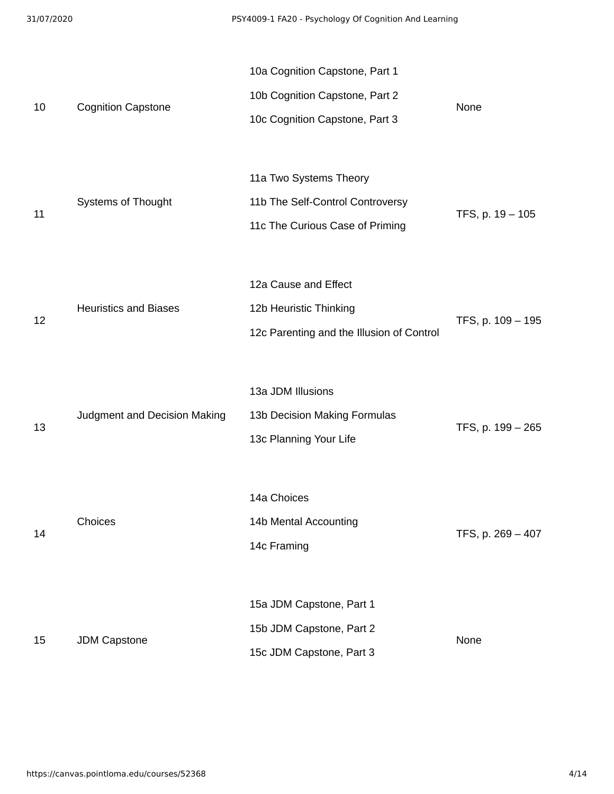| 31/07/2020 |                              | PSY4009-1 FA20 - Psychology Of Cognition And Learning                                              |                   |
|------------|------------------------------|----------------------------------------------------------------------------------------------------|-------------------|
| 10         | <b>Cognition Capstone</b>    | 10a Cognition Capstone, Part 1<br>10b Cognition Capstone, Part 2<br>10c Cognition Capstone, Part 3 | None              |
| 11         | Systems of Thought           | 11a Two Systems Theory<br>11b The Self-Control Controversy<br>11c The Curious Case of Priming      | TFS, p. 19 - 105  |
| 12         | <b>Heuristics and Biases</b> | 12a Cause and Effect<br>12b Heuristic Thinking<br>12c Parenting and the Illusion of Control        | TFS, p. 109 - 195 |
| 13         | Judgment and Decision Making | 13a JDM Illusions<br>13b Decision Making Formulas<br>13c Planning Your Life                        | TFS, p. 199 - 265 |
| 14         | Choices                      | 14a Choices<br>14b Mental Accounting<br>14c Framing                                                | TFS, p. 269 - 407 |
| 15         | <b>JDM Capstone</b>          | 15a JDM Capstone, Part 1<br>15b JDM Capstone, Part 2<br>15c JDM Capstone, Part 3                   | None              |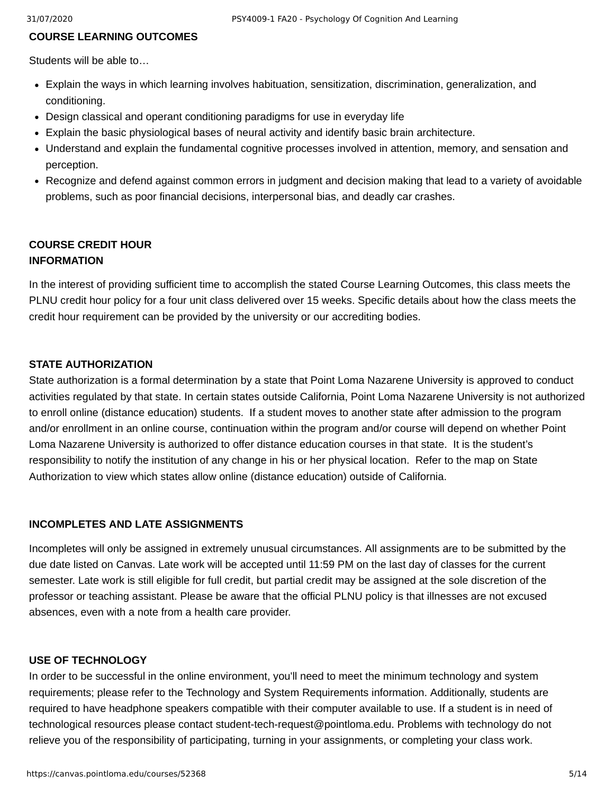#### **COURSE LEARNING OUTCOMES**

Students will be able to…

- Explain the ways in which learning involves habituation, sensitization, discrimination, generalization, and conditioning.
- Design classical and operant conditioning paradigms for use in everyday life
- Explain the basic physiological bases of neural activity and identify basic brain architecture.
- Understand and explain the fundamental cognitive processes involved in attention, memory, and sensation and perception.
- Recognize and defend against common errors in judgment and decision making that lead to a variety of avoidable problems, such as poor financial decisions, interpersonal bias, and deadly car crashes.

## **COURSE CREDIT HOUR INFORMATION**

In the interest of providing sufficient time to accomplish the stated Course Learning Outcomes, this class meets the PLNU credit hour policy for a four unit class delivered over 15 weeks. Specific details about how the class meets the credit hour requirement can be provided by the university or our accrediting bodies.

#### **STATE AUTHORIZATION**

State authorization is a formal determination by a state that Point Loma Nazarene University is approved to conduct activities regulated by that state. In certain states outside California, Point Loma Nazarene University is not authorized to enroll online (distance education) students. If a student moves to another state after admission to the program and/or enrollment in an online course, continuation within the program and/or course will depend on whether Point Loma Nazarene University is authorized to offer distance education courses in that state. It is the student's responsibility to notify the institution of any change in his or her physical location. Refer to the map on State Authorization to view which states allow online (distance education) outside of California.

#### **INCOMPLETES AND LATE ASSIGNMENTS**

Incompletes will only be assigned in extremely unusual circumstances. All assignments are to be submitted by the due date listed on Canvas. Late work will be accepted until 11:59 PM on the last day of classes for the current semester. Late work is still eligible for full credit, but partial credit may be assigned at the sole discretion of the professor or teaching assistant. Please be aware that the official PLNU policy is that illnesses are not excused absences, even with a note from a health care provider.

#### **USE OF TECHNOLOGY**

In order to be successful in the online environment, you'll need to meet the minimum technology and system requirements; please refer to the Technology and System Requirements information. Additionally, students are required to have headphone speakers compatible with their computer available to use. If a student is in need of technological resources please contact student-tech-request@pointloma.edu. Problems with technology do not relieve you of the responsibility of participating, turning in your assignments, or completing your class work.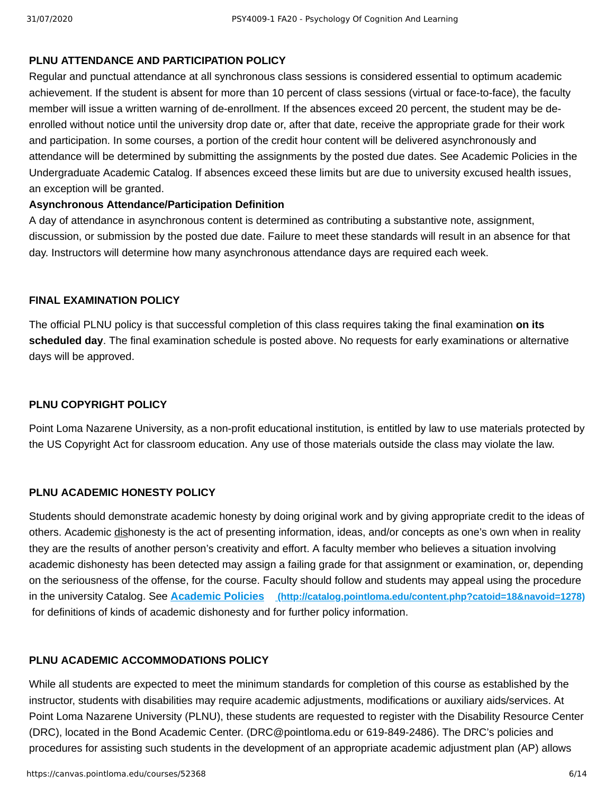## **PLNU ATTENDANCE AND PARTICIPATION POLICY**

Regular and punctual attendance at all synchronous class sessions is considered essential to optimum academic achievement. If the student is absent for more than 10 percent of class sessions (virtual or face-to-face), the faculty member will issue a written warning of de-enrollment. If the absences exceed 20 percent, the student may be deenrolled without notice until the university drop date or, after that date, receive the appropriate grade for their work and participation. In some courses, a portion of the credit hour content will be delivered asynchronously and attendance will be determined by submitting the assignments by the posted due dates. See Academic Policies in the Undergraduate Academic Catalog. If absences exceed these limits but are due to university excused health issues, an exception will be granted.

#### **Asynchronous Attendance/Participation Definition**

A day of attendance in asynchronous content is determined as contributing a substantive note, assignment, discussion, or submission by the posted due date. Failure to meet these standards will result in an absence for that day. Instructors will determine how many asynchronous attendance days are required each week.

#### **FINAL EXAMINATION POLICY**

The official PLNU policy is that successful completion of this class requires taking the final examination **on its scheduled day**. The final examination schedule is posted above. No requests for early examinations or alternative days will be approved.

## **PLNU COPYRIGHT POLICY**

Point Loma Nazarene University, as a non-profit educational institution, is entitled by law to use materials protected by the US Copyright Act for classroom education. Any use of those materials outside the class may violate the law.

## **PLNU ACADEMIC HONESTY POLICY**

Students should demonstrate academic honesty by doing original work and by giving appropriate credit to the ideas of others. Academic dishonesty is the act of presenting information, ideas, and/or concepts as one's own when in reality they are the results of another person's creativity and effort. A faculty member who believes a situation involving academic dishonesty has been detected may assign a failing grade for that assignment or examination, or, depending on the seriousness of the offense, for the course. Faculty should follow and students may appeal using the procedure in the university Catalog. See **Academic Policies [\(http://catalog.pointloma.edu/content.php?catoid=18&navoid=1278\)](http://catalog.pointloma.edu/content.php?catoid=18&navoid=1278)** for definitions of kinds of academic dishonesty and for further policy information.

## **PLNU ACADEMIC ACCOMMODATIONS POLICY**

While all students are expected to meet the minimum standards for completion of this course as established by the instructor, students with disabilities may require academic adjustments, modifications or auxiliary aids/services. At Point Loma Nazarene University (PLNU), these students are requested to register with the Disability Resource Center (DRC), located in the Bond Academic Center. (DRC@pointloma.edu or 619-849-2486). The DRC's policies and procedures for assisting such students in the development of an appropriate academic adjustment plan (AP) allows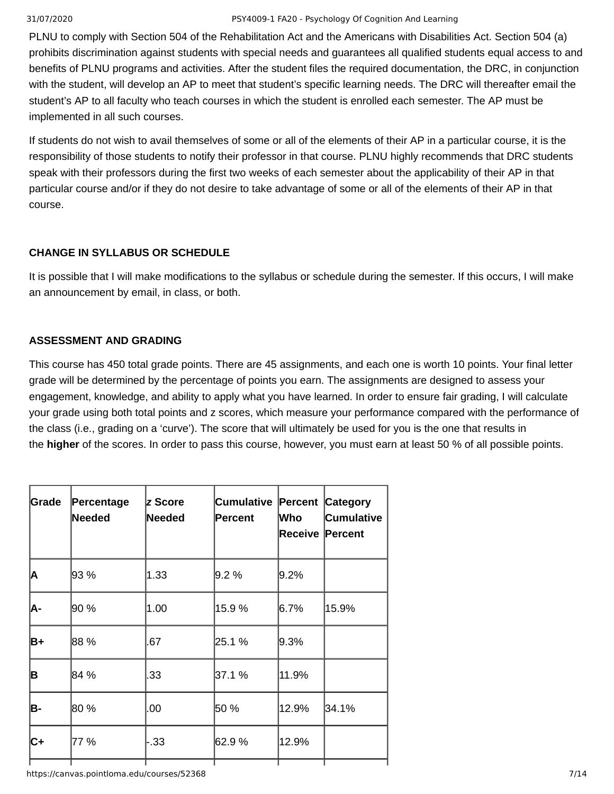#### 31/07/2020 PSY4009-1 FA20 - Psychology Of Cognition And Learning

PLNU to comply with Section 504 of the Rehabilitation Act and the Americans with Disabilities Act. Section 504 (a) prohibits discrimination against students with special needs and guarantees all qualified students equal access to and benefits of PLNU programs and activities. After the student files the required documentation, the DRC, in conjunction with the student, will develop an AP to meet that student's specific learning needs. The DRC will thereafter email the student's AP to all faculty who teach courses in which the student is enrolled each semester. The AP must be implemented in all such courses.

If students do not wish to avail themselves of some or all of the elements of their AP in a particular course, it is the responsibility of those students to notify their professor in that course. PLNU highly recommends that DRC students speak with their professors during the first two weeks of each semester about the applicability of their AP in that particular course and/or if they do not desire to take advantage of some or all of the elements of their AP in that course.

## **CHANGE IN SYLLABUS OR SCHEDULE**

It is possible that I will make modifications to the syllabus or schedule during the semester. If this occurs, I will make an announcement by email, in class, or both.

## **ASSESSMENT AND GRADING**

This course has 450 total grade points. There are 45 assignments, and each one is worth 10 points. Your final letter grade will be determined by the percentage of points you earn. The assignments are designed to assess your engagement, knowledge, and ability to apply what you have learned. In order to ensure fair grading, I will calculate your grade using both total points and z scores, which measure your performance compared with the performance of the class (i.e., grading on a 'curve'). The score that will ultimately be used for you is the one that results in the **higher** of the scores. In order to pass this course, however, you must earn at least 50 % of all possible points.

| Grade | Percentage<br>Needed | <b>z Score</b><br>Needed | Cumulative<br>Percent | Who<br>Receive Percent | <b>Percent Category</b><br>Cumulative |
|-------|----------------------|--------------------------|-----------------------|------------------------|---------------------------------------|
| A     | 93 %                 | $ 1.33\rangle$           | $9.2\%$               | $9.2\%$                |                                       |
| A-    | 90 %                 | 1.00                     | 15.9 %                | 16.7%                  | 15.9%                                 |
| B+    | 188 %                | .67                      | 25.1 %                | $9.3\%$                |                                       |
| B     | 84 %                 | .33                      | 37.1 %                | 11.9%                  |                                       |
| B-    | 80 %                 | .00                      | 50 %                  | 12.9%                  | 34.1%                                 |
| IC+   | 77 %                 | - 33                     | 62.9%                 | 12.9%                  |                                       |
|       |                      |                          |                       |                        |                                       |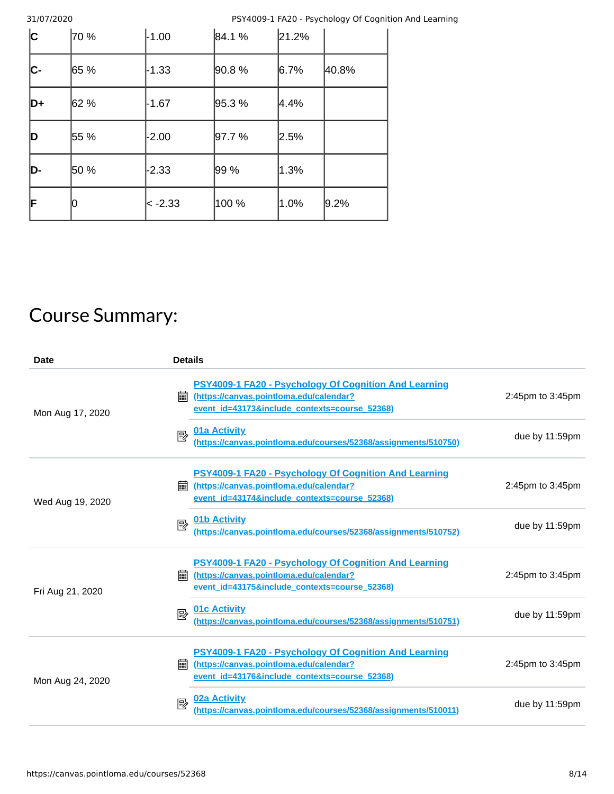31/07/2020 PSY4009-1 FA20 - Psychology Of Cognition And Learning

| $ {\rm c} $ | 70 % | $-1.00$  | 84.1%  | 21.2%    |         |
|-------------|------|----------|--------|----------|---------|
| C-          | 65 % | -1.33    | 90.8%  | $ 6.7\%$ | 40.8%   |
| $ D+$       | 62 % | $-1.67$  | 95.3%  | 4.4%     |         |
| ID          | 55 % | $-2.00$  | 97.7 % | 2.5%     |         |
| D-          | 50 % | -2.33    | 99 %   | $ 1.3\%$ |         |
| F           |      | ∣< -2.33 | 100 %  | $1.0\%$  | $9.2\%$ |

# Course Summary:

| Date             | <b>Details</b>                                                                                                                                                       |                   |
|------------------|----------------------------------------------------------------------------------------------------------------------------------------------------------------------|-------------------|
| Mon Aug 17, 2020 | <b>PSY4009-1 FA20 - Psychology Of Cognition And Learning</b><br>(https://canvas.pointloma.edu/calendar?<br>        <br>event id=43173&include contexts=course 52368) | 2:45pm to 3:45pm  |
|                  | <b>01a Activity</b><br>國<br>(https://canvas.pointloma.edu/courses/52368/assignments/510750)                                                                          | due by $11:59$ pm |
| Wed Aug 19, 2020 | <b>PSY4009-1 FA20 - Psychology Of Cognition And Learning</b><br>(https://canvas.pointloma.edu/calendar?<br>匾<br>event id=43174&include contexts=course 52368)        | 2:45pm to 3:45pm  |
|                  | 01b Activity<br>國<br>(https://canvas.pointloma.edu/courses/52368/assignments/510752)                                                                                 | due by 11:59pm    |
| Fri Aug 21, 2020 | <b>PSY4009-1 FA20 - Psychology Of Cognition And Learning</b><br>翩<br>(https://canvas.pointloma.edu/calendar?<br>event id=43175&include contexts=course 52368)        | 2:45pm to 3:45pm  |
|                  | <b>01c Activity</b><br>國<br>(https://canvas.pointloma.edu/courses/52368/assignments/510751)                                                                          | due by $11:59$ pm |
| Mon Aug 24, 2020 | <b>PSY4009-1 FA20 - Psychology Of Cognition And Learning</b><br>(https://canvas.pointloma.edu/calendar?<br>匾<br>event id=43176&include contexts=course 52368)        | 2:45pm to 3:45pm  |
|                  | 02a Activity<br>國<br>(https://canvas.pointloma.edu/courses/52368/assignments/510011)                                                                                 | due by $11:59$ pm |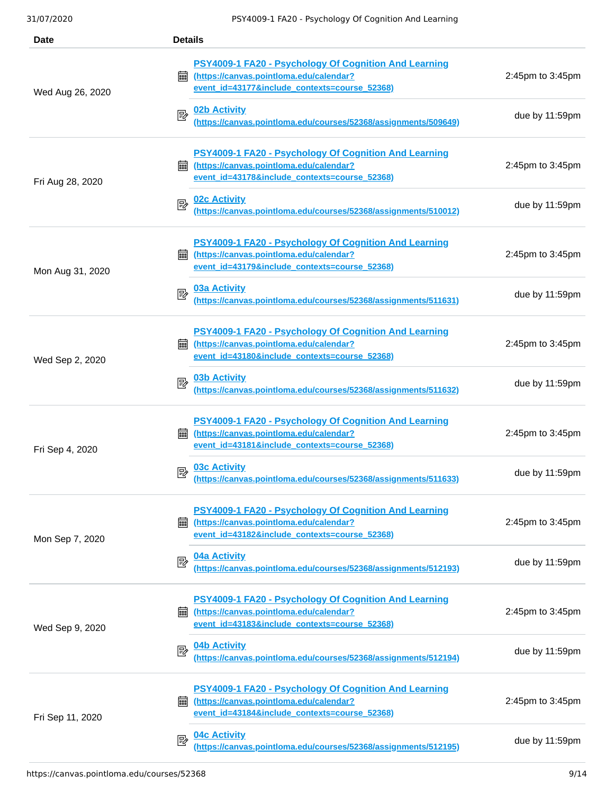| <b>Date</b>      | <b>Details</b>                                                                                                                                         |                        |  |  |
|------------------|--------------------------------------------------------------------------------------------------------------------------------------------------------|------------------------|--|--|
| Wed Aug 26, 2020 | PSY4009-1 FA20 - Psychology Of Cognition And Learning<br>(https://canvas.pointloma.edu/calendar?<br>翩<br>event_id=43177&include_contexts=course_52368) | 2:45pm to 3:45pm       |  |  |
|                  | 02b Activity<br>國<br>(https://canvas.pointloma.edu/courses/52368/assignments/509649)                                                                   | due by $11:59$ pm      |  |  |
| Fri Aug 28, 2020 | PSY4009-1 FA20 - Psychology Of Cognition And Learning<br>(https://canvas.pointloma.edu/calendar?<br>匾<br>event id=43178&include contexts=course 52368) | 2:45pm to 3:45pm       |  |  |
|                  | <b>02c Activity</b><br>國<br>(https://canvas.pointloma.edu/courses/52368/assignments/510012)                                                            | due by 11:59pm         |  |  |
| Mon Aug 31, 2020 | PSY4009-1 FA20 - Psychology Of Cognition And Learning<br>(https://canvas.pointloma.edu/calendar?<br>翩<br>event_id=43179&include_contexts=course_52368) | 2:45pm to 3:45pm       |  |  |
|                  | <b>03a Activity</b><br>國<br>(https://canvas.pointloma.edu/courses/52368/assignments/511631)                                                            | due by 11:59pm         |  |  |
| Wed Sep 2, 2020  | PSY4009-1 FA20 - Psychology Of Cognition And Learning<br>(https://canvas.pointloma.edu/calendar?<br>翩<br>event id=43180&include contexts=course 52368) | $2:45$ pm to $3:45$ pm |  |  |
|                  | <b>03b Activity</b><br>國<br>(https://canvas.pointloma.edu/courses/52368/assignments/511632)                                                            | due by 11:59pm         |  |  |
| Fri Sep 4, 2020  | PSY4009-1 FA20 - Psychology Of Cognition And Learning<br>(https://canvas.pointloma.edu/calendar?<br>繭<br>event id=43181&include_contexts=course_52368) | 2:45pm to 3:45pm       |  |  |
|                  | <b>03c Activity</b><br>國<br>(https://canvas.pointloma.edu/courses/52368/assignments/511633)                                                            | due by 11:59pm         |  |  |
| Mon Sep 7, 2020  | PSY4009-1 FA20 - Psychology Of Cognition And Learning<br>(https://canvas.pointloma.edu/calendar?<br>翩<br>event id=43182&include contexts=course 52368) | 2:45pm to 3:45pm       |  |  |
|                  | 04a Activity<br>昬<br>(https://canvas.pointloma.edu/courses/52368/assignments/512193)                                                                   | due by 11:59pm         |  |  |
| Wed Sep 9, 2020  | PSY4009-1 FA20 - Psychology Of Cognition And Learning<br>(https://canvas.pointloma.edu/calendar?<br>翩<br>event_id=43183&include_contexts=course_52368) | 2:45pm to 3:45pm       |  |  |
|                  | 04b Activity<br>昬<br>(https://canvas.pointloma.edu/courses/52368/assignments/512194)                                                                   | due by $11:59$ pm      |  |  |
| Fri Sep 11, 2020 | PSY4009-1 FA20 - Psychology Of Cognition And Learning<br>(https://canvas.pointloma.edu/calendar?<br>翩<br>event id=43184&include contexts=course 52368) | 2:45pm to 3:45pm       |  |  |
|                  | 04c Activity<br>國<br>(https://canvas.pointloma.edu/courses/52368/assignments/512195)                                                                   | due by $11:59$ pm      |  |  |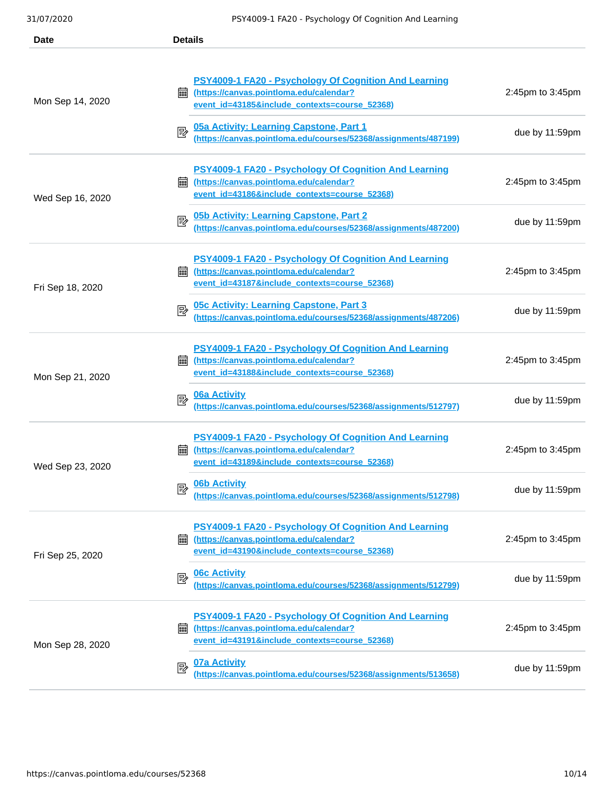| Date             | <b>Details</b>                                                                                                                                                |                   |
|------------------|---------------------------------------------------------------------------------------------------------------------------------------------------------------|-------------------|
| Mon Sep 14, 2020 | <b>PSY4009-1 FA20 - Psychology Of Cognition And Learning</b><br>(https://canvas.pointloma.edu/calendar?<br>翩<br>event id=43185&include contexts=course 52368) | 2:45pm to 3:45pm  |
|                  | 05a Activity: Learning Capstone, Part 1<br>國<br>(https://canvas.pointloma.edu/courses/52368/assignments/487199)                                               | due by 11:59pm    |
| Wed Sep 16, 2020 | PSY4009-1 FA20 - Psychology Of Cognition And Learning<br>翩<br>(https://canvas.pointloma.edu/calendar?<br>event id=43186&include contexts=course 52368)        | 2:45pm to 3:45pm  |
|                  | 05b Activity: Learning Capstone, Part 2<br>國<br>(https://canvas.pointloma.edu/courses/52368/assignments/487200)                                               | due by $11:59$ pm |
| Fri Sep 18, 2020 | <b>PSY4009-1 FA20 - Psychology Of Cognition And Learning</b><br>(https://canvas.pointloma.edu/calendar?<br>翩<br>event id=43187&include contexts=course 52368) | 2:45pm to 3:45pm  |
|                  | <b>05c Activity: Learning Capstone, Part 3</b><br>國<br>(https://canvas.pointloma.edu/courses/52368/assignments/487206)                                        | due by $11:59$ pm |
| Mon Sep 21, 2020 | PSY4009-1 FA20 - Psychology Of Cognition And Learning<br>(https://canvas.pointloma.edu/calendar?<br>繭<br>event id=43188&include contexts=course 52368)        | 2:45pm to 3:45pm  |
|                  | <b>06a Activity</b><br>國<br>(https://canvas.pointloma.edu/courses/52368/assignments/512797)                                                                   | due by $11:59$ pm |
| Wed Sep 23, 2020 | PSY4009-1 FA20 - Psychology Of Cognition And Learning<br>(https://canvas.pointloma.edu/calendar?<br>繭<br>event id=43189&include contexts=course 52368)        | 2:45pm to 3:45pm  |
|                  | <b>06b Activity</b><br>昬<br>(https://canvas.pointloma.edu/courses/52368/assignments/512798)                                                                   | due by 11:59pm    |
| Fri Sep 25, 2020 | PSY4009-1 FA20 - Psychology Of Cognition And Learning<br>(https://canvas.pointloma.edu/calendar?<br>酾<br>event id=43190&include contexts=course 52368)        | 2:45pm to 3:45pm  |
|                  | <b>06c Activity</b><br>國<br>(https://canvas.pointloma.edu/courses/52368/assignments/512799)                                                                   | due by 11:59pm    |
| Mon Sep 28, 2020 | <b>PSY4009-1 FA20 - Psychology Of Cognition And Learning</b><br>(https://canvas.pointloma.edu/calendar?<br>翩<br>event id=43191&include contexts=course 52368) | 2:45pm to 3:45pm  |
|                  | <b>07a Activity</b><br>國<br>(https://canvas.pointloma.edu/courses/52368/assignments/513658)                                                                   | due by 11:59pm    |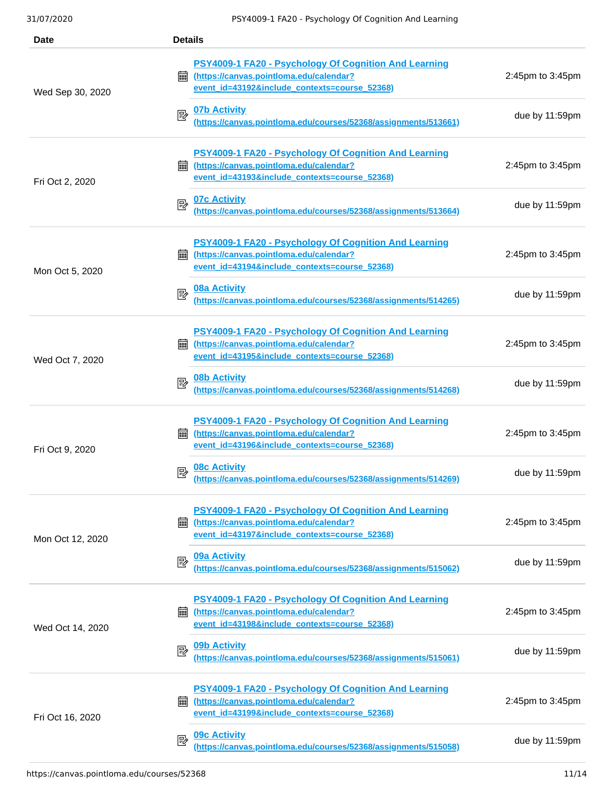| <b>Date</b>      | <b>Details</b>                                                                                                                                                |                        |  |  |
|------------------|---------------------------------------------------------------------------------------------------------------------------------------------------------------|------------------------|--|--|
| Wed Sep 30, 2020 | PSY4009-1 FA20 - Psychology Of Cognition And Learning<br>(https://canvas.pointloma.edu/calendar?<br>匾<br>event_id=43192&include_contexts=course_52368)        | 2:45pm to 3:45pm       |  |  |
|                  | <b>07b Activity</b><br>國<br>(https://canvas.pointloma.edu/courses/52368/assignments/513661)                                                                   | due by $11:59$ pm      |  |  |
| Fri Oct 2, 2020  | PSY4009-1 FA20 - Psychology Of Cognition And Learning<br>(https://canvas.pointloma.edu/calendar?<br>匾<br>event id=43193&include contexts=course 52368)        | 2:45pm to 3:45pm       |  |  |
|                  | <b>07c Activity</b><br>國<br>(https://canvas.pointloma.edu/courses/52368/assignments/513664)                                                                   | due by 11:59pm         |  |  |
| Mon Oct 5, 2020  | <b>PSY4009-1 FA20 - Psychology Of Cognition And Learning</b><br>(https://canvas.pointloma.edu/calendar?<br>匾<br>event id=43194&include contexts=course 52368) | 2:45pm to 3:45pm       |  |  |
|                  | <b>08a Activity</b><br>國<br>(https://canvas.pointloma.edu/courses/52368/assignments/514265)                                                                   | due by 11:59pm         |  |  |
| Wed Oct 7, 2020  | PSY4009-1 FA20 - Psychology Of Cognition And Learning<br>(https://canvas.pointloma.edu/calendar?<br>酾<br>event id=43195&include contexts=course 52368)        | $2:45$ pm to $3:45$ pm |  |  |
|                  | <b>08b Activity</b><br>國<br>(https://canvas.pointloma.edu/courses/52368/assignments/514268)                                                                   | due by 11:59pm         |  |  |
| Fri Oct 9, 2020  | PSY4009-1 FA20 - Psychology Of Cognition And Learning<br>翩<br>(https://canvas.pointloma.edu/calendar?<br>event_id=43196&include_contexts=course_52368)        | 2:45pm to 3:45pm       |  |  |
|                  | <u>08c Activity</u><br>國<br>(https://canvas.pointloma.edu/courses/52368/assignments/514269)                                                                   | due by $11:59$ pm      |  |  |
| Mon Oct 12, 2020 | PSY4009-1 FA20 - Psychology Of Cognition And Learning<br>(https://canvas.pointloma.edu/calendar?<br>翩<br>event id=43197&include contexts=course 52368)        | 2:45pm to 3:45pm       |  |  |
|                  | 09a Activity<br>國<br>(https://canvas.pointloma.edu/courses/52368/assignments/515062)                                                                          | due by 11:59pm         |  |  |
| Wed Oct 14, 2020 | PSY4009-1 FA20 - Psychology Of Cognition And Learning<br>(https://canvas.pointloma.edu/calendar?<br>匾<br>event_id=43198&include_contexts=course_52368)        | 2:45pm to 3:45pm       |  |  |
|                  | 09b Activity<br>國<br>(https://canvas.pointloma.edu/courses/52368/assignments/515061)                                                                          | due by $11:59$ pm      |  |  |
| Fri Oct 16, 2020 | <b>PSY4009-1 FA20 - Psychology Of Cognition And Learning</b><br>翩<br>(https://canvas.pointloma.edu/calendar?<br>event id=43199&include contexts=course 52368) | 2:45pm to 3:45pm       |  |  |
|                  | 09 <sub>c</sub> Activity<br>國<br>(https://canvas.pointloma.edu/courses/52368/assignments/515058)                                                              | due by $11:59$ pm      |  |  |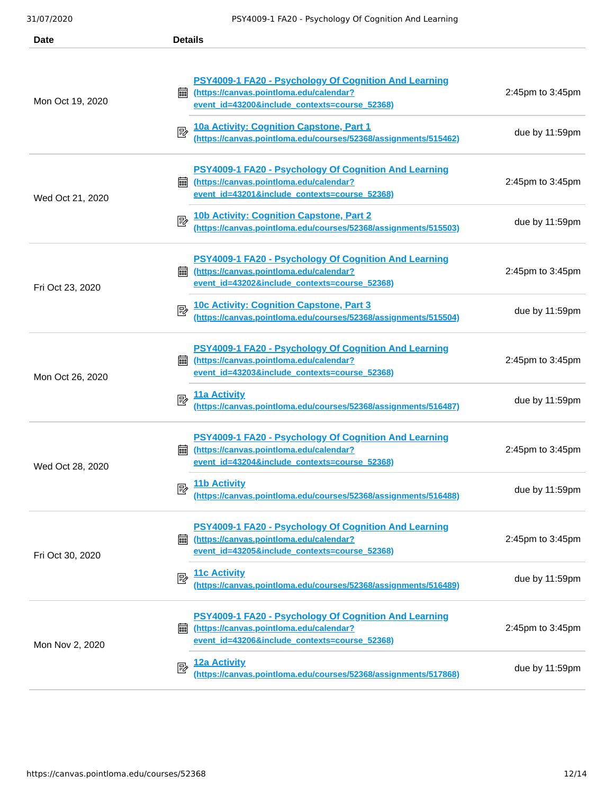| Date             | <b>Details</b>                                                                                                                                                                                                                                                                           |                                    |
|------------------|------------------------------------------------------------------------------------------------------------------------------------------------------------------------------------------------------------------------------------------------------------------------------------------|------------------------------------|
| Mon Oct 19, 2020 | <b>PSY4009-1 FA20 - Psychology Of Cognition And Learning</b><br>(https://canvas.pointloma.edu/calendar?<br>        <br>event_id=43200&include_contexts=course_52368)<br>10a Activity: Cognition Capstone, Part 1<br>國<br>(https://canvas.pointloma.edu/courses/52368/assignments/515462) | 2:45pm to 3:45pm<br>due by 11:59pm |
| Wed Oct 21, 2020 | PSY4009-1 FA20 - Psychology Of Cognition And Learning<br>(https://canvas.pointloma.edu/calendar?<br>匾<br>event id=43201&include contexts=course 52368)                                                                                                                                   | 2:45pm to 3:45pm                   |
|                  | 10b Activity: Cognition Capstone, Part 2<br>國<br>(https://canvas.pointloma.edu/courses/52368/assignments/515503)                                                                                                                                                                         | due by $11:59$ pm                  |
| Fri Oct 23, 2020 | <b>PSY4009-1 FA20 - Psychology Of Cognition And Learning</b><br>(https://canvas.pointloma.edu/calendar?<br>翩<br>event id=43202&include contexts=course 52368)                                                                                                                            | 2:45pm to 3:45pm                   |
|                  | 10c Activity: Cognition Capstone, Part 3<br>國<br>(https://canvas.pointloma.edu/courses/52368/assignments/515504)                                                                                                                                                                         | due by 11:59pm                     |
| Mon Oct 26, 2020 | PSY4009-1 FA20 - Psychology Of Cognition And Learning<br>(https://canvas.pointloma.edu/calendar?<br>翩<br>event_id=43203&include_contexts=course_52368)                                                                                                                                   | 2:45pm to 3:45pm                   |
|                  | 11a Activity<br>ι<br>(https://canvas.pointloma.edu/courses/52368/assignments/516487)                                                                                                                                                                                                     | due by $11:59$ pm                  |
| Wed Oct 28, 2020 | PSY4009-1 FA20 - Psychology Of Cognition And Learning<br>(https://canvas.pointloma.edu/calendar?<br>繭<br>event id=43204&include contexts=course 52368)                                                                                                                                   | 2:45pm to 3:45pm                   |
|                  | 11b Activity<br>國<br>(https://canvas.pointloma.edu/courses/52368/assignments/516488)                                                                                                                                                                                                     | due by $11:59$ pm                  |
| Fri Oct 30, 2020 | PSY4009-1 FA20 - Psychology Of Cognition And Learning<br>(https://canvas.pointloma.edu/calendar?<br>繭<br>event id=43205&include contexts=course 52368)                                                                                                                                   | 2:45pm to 3:45pm                   |
|                  | <b>11c Activity</b><br>國<br>(https://canvas.pointloma.edu/courses/52368/assignments/516489)                                                                                                                                                                                              | due by 11:59pm                     |
| Mon Nov 2, 2020  | PSY4009-1 FA20 - Psychology Of Cognition And Learning<br>(https://canvas.pointloma.edu/calendar?<br>翩<br>event id=43206&include contexts=course 52368)                                                                                                                                   | 2:45pm to 3:45pm                   |
|                  | 12a Activity<br>國<br>(https://canvas.pointloma.edu/courses/52368/assignments/517868)                                                                                                                                                                                                     | due by 11:59pm                     |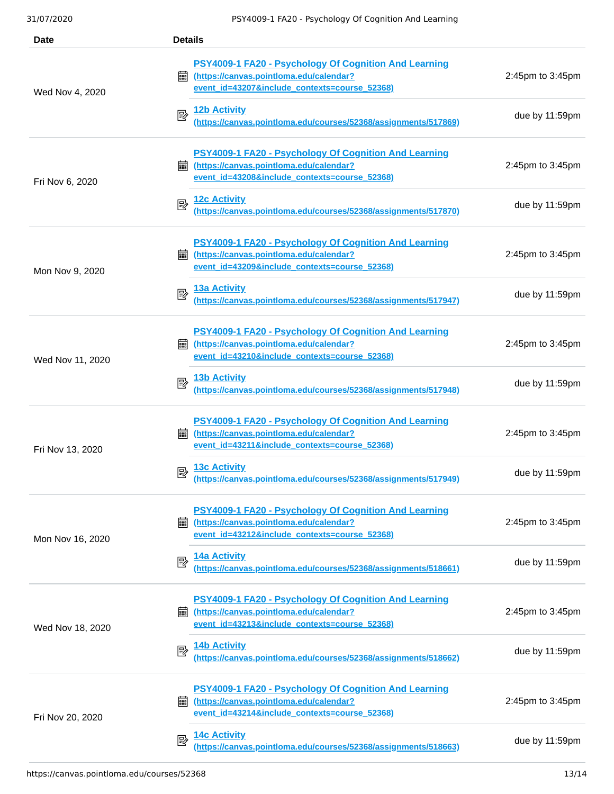| <b>Date</b>      | <b>Details</b>                                                                                                                                                |                        |
|------------------|---------------------------------------------------------------------------------------------------------------------------------------------------------------|------------------------|
| Wed Nov 4, 2020  | PSY4009-1 FA20 - Psychology Of Cognition And Learning<br>(https://canvas.pointloma.edu/calendar?<br>匾<br>event_id=43207&include_contexts=course_52368)        | 2:45pm to 3:45pm       |
|                  | 12b Activity<br>國<br>(https://canvas.pointloma.edu/courses/52368/assignments/517869)                                                                          | due by $11:59$ pm      |
| Fri Nov 6, 2020  | PSY4009-1 FA20 - Psychology Of Cognition And Learning<br>(https://canvas.pointloma.edu/calendar?<br>匾<br>event id=43208&include contexts=course 52368)        | 2:45pm to 3:45pm       |
|                  | <b>12c Activity</b><br>國<br>(https://canvas.pointloma.edu/courses/52368/assignments/517870)                                                                   | due by 11:59pm         |
| Mon Nov 9, 2020  | <b>PSY4009-1 FA20 - Psychology Of Cognition And Learning</b><br>(https://canvas.pointloma.edu/calendar?<br>匾<br>event_id=43209&include_contexts=course_52368) | 2:45pm to 3:45pm       |
|                  | <b>13a Activity</b><br>國<br>(https://canvas.pointloma.edu/courses/52368/assignments/517947)                                                                   | due by 11:59pm         |
| Wed Nov 11, 2020 | PSY4009-1 FA20 - Psychology Of Cognition And Learning<br>(https://canvas.pointloma.edu/calendar?<br>酾<br>event id=43210&include contexts=course 52368)        | $2:45$ pm to $3:45$ pm |
|                  | <b>13b Activity</b><br>國<br>(https://canvas.pointloma.edu/courses/52368/assignments/517948)                                                                   | due by 11:59pm         |
| Fri Nov 13, 2020 | <b>PSY4009-1 FA20 - Psychology Of Cognition And Learning</b><br>(https://canvas.pointloma.edu/calendar?<br>匾<br>event id=43211&include contexts=course 52368) | 2:45pm to 3:45pm       |
|                  | <b>13c Activity</b><br>昬<br>(https://canvas.pointloma.edu/courses/52368/assignments/517949)                                                                   | due by $11:59$ pm      |
| Mon Nov 16, 2020 | PSY4009-1 FA20 - Psychology Of Cognition And Learning<br>(https://canvas.pointloma.edu/calendar?<br>翩<br>event id=43212&include contexts=course 52368)        | 2:45pm to 3:45pm       |
|                  | 14a Activity<br>國<br>(https://canvas.pointloma.edu/courses/52368/assignments/518661)                                                                          | due by 11:59pm         |
| Wed Nov 18, 2020 | PSY4009-1 FA20 - Psychology Of Cognition And Learning<br>(https://canvas.pointloma.edu/calendar?<br>匾<br>event_id=43213&include_contexts=course_52368)        | 2:45pm to 3:45pm       |
|                  | <b>14b Activity</b><br>國<br>(https://canvas.pointloma.edu/courses/52368/assignments/518662)                                                                   | due by $11:59$ pm      |
| Fri Nov 20, 2020 | <b>PSY4009-1 FA20 - Psychology Of Cognition And Learning</b><br>翩<br>(https://canvas.pointloma.edu/calendar?<br>event id=43214&include contexts=course 52368) | 2:45pm to 3:45pm       |
|                  | <b>14c Activity</b><br>昬<br>(https://canvas.pointloma.edu/courses/52368/assignments/518663)                                                                   | due by $11:59$ pm      |